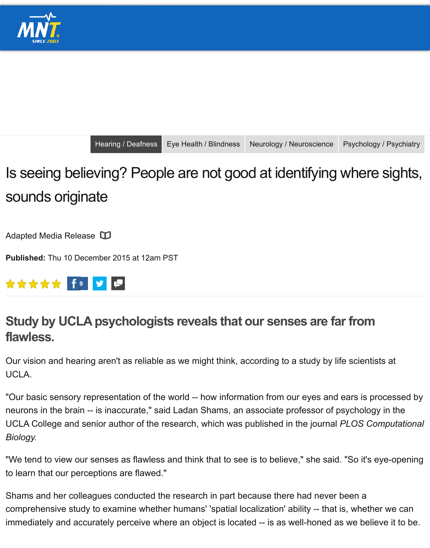[Is seeing b](http://www.medicalnewstoday.com/)elieving? People are not good at identifying where sights sounds originate

Adapted Media Release

**Published:** Thu 10 Dec[ember 2015 at 12am](http://www.medicalnewstoday.com/categories/hearing-deafness) [PST](http://www.medicalnewstoday.com/categories/eye_health)



## **Study by UCLA psychologists reveals that our senses are fare flawless.**

Our vision and hearing aren't as reliable as we might think, according to a study by life UCLA.

"Our basic sensory representation of the world -- how information from our eyes and  $\epsilon$ neurons in the brain -- is inaccurate," said Ladan Shams, an associate professor of ps UCLA College and senior author of the research, which was published in the journal *P Biology.*

"We tend to view our senses as flawless and think that to see is to believe," she said. to learn that our perceptions are flawed."

Shams and her colleagues conducted the research in part because there had never b comprehensive study to examine whether humans' 'spatial localization' ability -- that is immediately and accurately perceive where an object is located -- is as well-honed as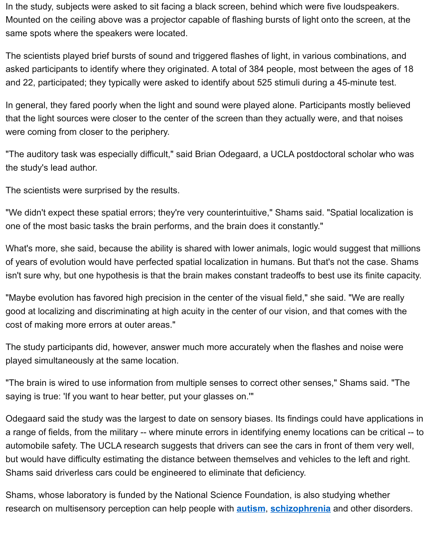In general, they fared poorly when the light and sound were played alone. Participants mostly believed that the light sources were closer to the center of the screen than they actually were, were coming from closer to the periphery.

"The auditory task was especially difficult," said Brian Odegaard, a UCLA postdoctora the study's lead author.

The scientists were surprised by the results.

"We didn't expect these spatial errors; they're very counterintuitive," Shams said. "Spatial localization is u one of the most basic tasks the brain performs, and the brain does it constantly."

What's more, she said, because the ability is shared with lower animals, logic would s of years of evolution would have perfected spatial localization in humans. But that's n isn't sure why, but one hypothesis is that the brain makes constant tradeoffs to best u

"Maybe evolution has favored high precision in the center of the visual field," she said good at localizing and discriminating at high acuity in the center of our vision, and tha cost of making more errors at outer areas."

The study participants did, however, answer much more accurately when the flashes played simultaneously at the same location.

"The brain is wired to use information from multiple senses to correct other senses," S saying is true: 'If you want to hear better, put your glasses on.'"

Odegaard said the study was the largest to date on sensory biases. Its findings could a range of fields, from the military -- where minute errors in identifying enemy location automobile safety. The UCLA research suggests that drivers can see the cars in front but would have difficulty estimating the distance between themselves and vehicles to Shams said driverless cars could be engineered to eliminate that deficiency.

Shams, whose laboratory is funded by the National Science Foundation, is also study research on multisensory perception can help people with **autism**, **schizophrenia** an